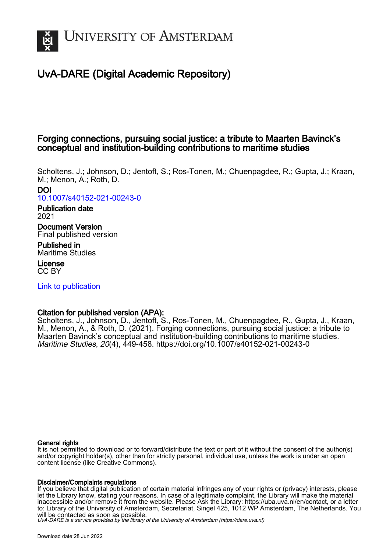

# UvA-DARE (Digital Academic Repository)

## Forging connections, pursuing social justice: a tribute to Maarten Bavinck's conceptual and institution-building contributions to maritime studies

Scholtens, J.; Johnson, D.; Jentoft, S.; Ros-Tonen, M.; Chuenpagdee, R.; Gupta, J.; Kraan, M.; Menon, A.; Roth, D. DOI [10.1007/s40152-021-00243-0](https://doi.org/10.1007/s40152-021-00243-0)

Publication date 2021

Document Version Final published version

Published in Maritime Studies

License CC BY

[Link to publication](https://dare.uva.nl/personal/pure/en/publications/forging-connections-pursuing-social-justice-a-tribute-to-maarten-bavincks-conceptual-and-institutionbuilding-contributions-to-maritime-studies(f243b842-7259-4d0b-9d8b-d0e6f07574cd).html)

## Citation for published version (APA):

Scholtens, J., Johnson, D., Jentoft, S., Ros-Tonen, M., Chuenpagdee, R., Gupta, J., Kraan, M., Menon, A., & Roth, D. (2021). Forging connections, pursuing social justice: a tribute to Maarten Bavinck's conceptual and institution-building contributions to maritime studies. Maritime Studies, 20(4), 449-458.<https://doi.org/10.1007/s40152-021-00243-0>

#### General rights

It is not permitted to download or to forward/distribute the text or part of it without the consent of the author(s) and/or copyright holder(s), other than for strictly personal, individual use, unless the work is under an open content license (like Creative Commons).

#### Disclaimer/Complaints regulations

If you believe that digital publication of certain material infringes any of your rights or (privacy) interests, please let the Library know, stating your reasons. In case of a legitimate complaint, the Library will make the material inaccessible and/or remove it from the website. Please Ask the Library: https://uba.uva.nl/en/contact, or a letter to: Library of the University of Amsterdam, Secretariat, Singel 425, 1012 WP Amsterdam, The Netherlands. You will be contacted as soon as possible.

UvA-DARE is a service provided by the library of the University of Amsterdam (http*s*://dare.uva.nl)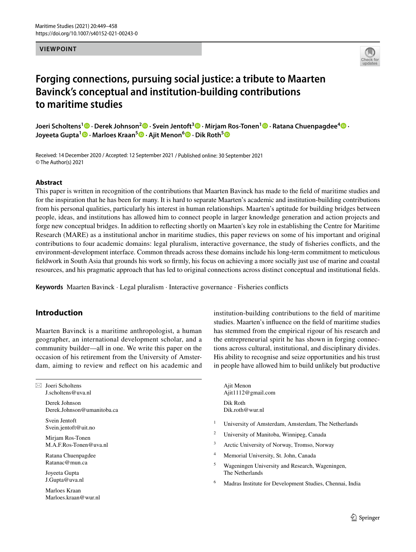#### **VIEWPOINT**



## **Forging connections, pursuing social justice: a tribute to Maarten Bavinck's conceptual and institution‑building contributions to maritime studies**

**Joeri Scholtens1  [·](http://orcid.org/0000-0003-2293-5221) Derek Johnson2  [·](http://orcid.org/0000-0001-9020-424X) Svein Jentoft3 · Mirjam Ros‑Tonen1  [·](http://orcid.org/0000-0002-6606-7430) Ratana Chuenpagdee4 · Joyeeta Gupta<sup>1</sup><sup></sup> • Marloes Kraan<sup>[5](http://orcid.org/0000-0002-3703-5245)</sup><sup>•</sup>• Ajit Menon<sup>6</sup><sup>•</sup> • Dik Roth<sup>5</sup><sup>•</sup>** 

Received: 14 December 2020 / Accepted: 12 September 2021 / Published online: 30 September 2021 © The Author(s) 2021

#### **Abstract**

This paper is written in recognition of the contributions that Maarten Bavinck has made to the feld of maritime studies and for the inspiration that he has been for many. It is hard to separate Maarten's academic and institution-building contributions from his personal qualities, particularly his interest in human relationships. Maarten's aptitude for building bridges between people, ideas, and institutions has allowed him to connect people in larger knowledge generation and action projects and forge new conceptual bridges. In addition to refecting shortly on Maarten's key role in establishing the Centre for Maritime Research (MARE) as a institutional anchor in maritime studies, this paper reviews on some of his important and original contributions to four academic domains: legal pluralism, interactive governance, the study of fsheries conficts, and the environment-development interface. Common threads across these domains include his long-term commitment to meticulous feldwork in South Asia that grounds his work so frmly, his focus on achieving a more socially just use of marine and coastal resources, and his pragmatic approach that has led to original connections across distinct conceptual and institutional felds.

**Keywords** Maarten Bavinck · Legal pluralism · Interactive governance · Fisheries conficts

### **Introduction**

Maarten Bavinck is a maritime anthropologist, a human geographer, an international development scholar, and a community builder—all in one. We write this paper on the occasion of his retirement from the University of Amsterdam, aiming to review and refect on his academic and

 $\boxtimes$  Joeri Scholtens J.scholtens@uva.nl

> Derek Johnson Derek.Johnson@umanitoba.ca

Svein Jentoft Svein.jentoft@uit.no

Mirjam Ros-Tonen M.A.F.Ros-Tonen@uva.nl

Ratana Chuenpagdee Ratanac@mun.ca

Joyeeta Gupta J.Gupta@uva.nl

Marloes Kraan Marloes.kraan@wur.nl institution-building contributions to the feld of maritime studies. Maarten's infuence on the feld of maritime studies has stemmed from the empirical rigour of his research and the entrepreneurial spirit he has shown in forging connections across cultural, institutional, and disciplinary divides. His ability to recognise and seize opportunities and his trust in people have allowed him to build unlikely but productive

Ajit Menon Ajit1112@gmail.com Dik Roth Dik.roth@wur.nl

- <sup>1</sup> University of Amsterdam, Amsterdam, The Netherlands
- <sup>2</sup> University of Manitoba, Winnipeg, Canada
- <sup>3</sup> Arctic University of Norway, Tromso, Norway
- <sup>4</sup> Memorial University, St. John, Canada
- <sup>5</sup> Wageningen University and Research, Wageningen, The Netherlands
- <sup>6</sup> Madras Institute for Development Studies, Chennai, India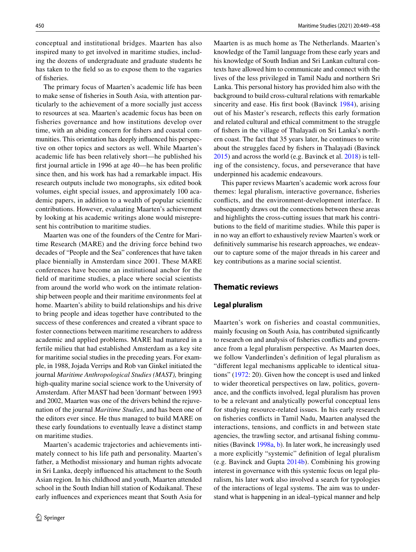conceptual and institutional bridges. Maarten has also inspired many to get involved in maritime studies, including the dozens of undergraduate and graduate students he has taken to the feld so as to expose them to the vagaries of fsheries.

The primary focus of Maarten's academic life has been to make sense of fsheries in South Asia, with attention particularly to the achievement of a more socially just access to resources at sea. Maarten's academic focus has been on fisheries governance and how institutions develop over time, with an abiding concern for fshers and coastal communities. This orientation has deeply infuenced his perspective on other topics and sectors as well. While Maarten's academic life has been relatively short—he published his frst journal article in 1996 at age 40—he has been prolifc since then, and his work has had a remarkable impact. His research outputs include two monographs, six edited book volumes, eight special issues, and approximately 100 academic papers, in addition to a wealth of popular scientifc contributions. However, evaluating Maarten's achievement by looking at his academic writings alone would misrepresent his contribution to maritime studies.

Maarten was one of the founders of the Centre for Maritime Research (MARE) and the driving force behind two decades of "People and the Sea" conferences that have taken place biennially in Amsterdam since 2001. These MARE conferences have become an institutional anchor for the feld of maritime studies, a place where social scientists from around the world who work on the intimate relationship between people and their maritime environments feel at home. Maarten's ability to build relationships and his drive to bring people and ideas together have contributed to the success of these conferences and created a vibrant space to foster connections between maritime researchers to address academic and applied problems. MARE had matured in a fertile milieu that had established Amsterdam as a key site for maritime social studies in the preceding years. For example, in 1988, Jojada Verrips and Rob van Ginkel initiated the journal *Maritime Anthropological Studies (MAST),* bringing high-quality marine social science work to the University of Amsterdam. After MAST had been 'dormant' between 1993 and 2002, Maarten was one of the drivers behind the rejuvenation of the journal *Maritime Studies*, and has been one of the editors ever since. He thus managed to build MARE on these early foundations to eventually leave a distinct stamp on maritime studies.

Maarten's academic trajectories and achievements intimately connect to his life path and personality. Maarten's father, a Methodist missionary and human rights advocate in Sri Lanka, deeply infuenced his attachment to the South Asian region. In his childhood and youth, Maarten attended school in the South Indian hill station of Kodaikanal. These early infuences and experiences meant that South Asia for Maarten is as much home as The Netherlands. Maarten's knowledge of the Tamil language from these early years and his knowledge of South Indian and Sri Lankan cultural contexts have allowed him to communicate and connect with the lives of the less privileged in Tamil Nadu and northern Sri Lanka. This personal history has provided him also with the background to build cross-cultural relations with remarkable sincerity and ease. His frst book (Bavinck [1984\)](#page-9-0), arising out of his Master's research, refects this early formation and related cultural and ethical commitment to the struggle of fshers in the village of Thalayadi on Sri Lanka's northern coast. The fact that 35 years later, he continues to write about the struggles faced by fshers in Thalayadi (Bavinck [2015](#page-9-1)) and across the world (e.g. Bavinck et al. [2018](#page-9-2)) is telling of the consistency, focus, and perseverance that have underpinned his academic endeavours.

This paper reviews Maarten's academic work across four themes: legal pluralism, interactive governance, fsheries conficts, and the environment-development interface. It subsequently draws out the connections between these areas and highlights the cross-cutting issues that mark his contributions to the feld of maritime studies. While this paper is in no way an effort to exhaustively review Maarten's work or defnitively summarise his research approaches, we endeavour to capture some of the major threads in his career and key contributions as a marine social scientist.

#### **Thematic reviews**

#### **Legal pluralism**

Maarten's work on fisheries and coastal communities, mainly focusing on South Asia, has contributed signifcantly to research on and analysis of fsheries conficts and governance from a legal pluralism perspective. As Maarten does, we follow Vanderlinden's defnition of legal pluralism as "diferent legal mechanisms applicable to identical situations" ([1972:](#page-10-0) 20). Given how the concept is used and linked to wider theoretical perspectives on law, politics, governance, and the conficts involved, legal pluralism has proven to be a relevant and analytically powerful conceptual lens for studying resource-related issues. In his early research on fsheries conficts in Tamil Nadu, Maarten analysed the interactions, tensions, and conficts in and between state agencies, the trawling sector, and artisanal fshing communities (Bavinck [1998a,](#page-9-3) [b](#page-9-4)). In later work, he increasingly used a more explicitly "systemic" defnition of legal pluralism (e.g. Bavinck and Gupta [2014b\)](#page-9-5). Combining his growing interest in governance with this systemic focus on legal pluralism, his later work also involved a search for typologies of the interactions of legal systems. The aim was to understand what is happening in an ideal–typical manner and help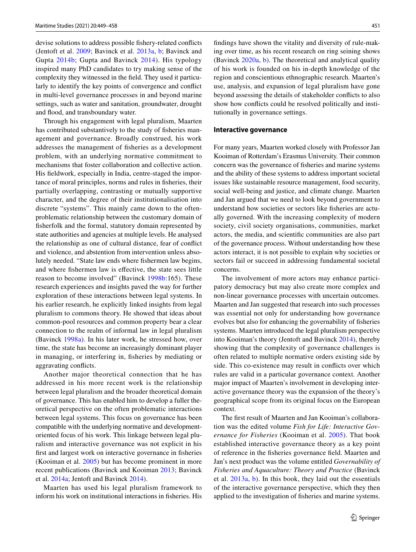devise solutions to address possible fshery-related conficts (Jentoft et al. [2009;](#page-10-1) Bavinck et al. [2013a,](#page-9-6) [b;](#page-9-7) Bavinck and Gupta [2014b](#page-9-5); Gupta and Bavinck [2014\)](#page-9-8). His typology inspired many PhD candidates to try making sense of the complexity they witnessed in the feld. They used it particularly to identify the key points of convergence and confict in multi-level governance processes in and beyond marine settings, such as water and sanitation, groundwater, drought and flood, and transboundary water.

Through his engagement with legal pluralism, Maarten has contributed substantively to the study of fsheries management and governance. Broadly construed, his work addresses the management of fsheries as a development problem, with an underlying normative commitment to mechanisms that foster collaboration and collective action. His feldwork, especially in India, centre-staged the importance of moral principles, norms and rules in fsheries, their partially overlapping, contrasting or mutually supportive character, and the degree of their institutionalisation into discrete "systems". This mainly came down to the oftenproblematic relationship between the customary domain of fsherfolk and the formal, statutory domain represented by state authorities and agencies at multiple levels. He analysed the relationship as one of cultural distance, fear of confict and violence, and abstention from intervention unless absolutely needed. "State law ends where fshermen law begins, and where fshermen law is efective, the state sees little reason to become involved" (Bavinck [1998b:](#page-9-4)165). These research experiences and insights paved the way for further exploration of these interactions between legal systems. In his earlier research, he explicitly linked insights from legal pluralism to commons theory. He showed that ideas about common-pool resources and common property bear a clear connection to the realm of informal law in legal pluralism (Bavinck [1998a](#page-9-3)). In his later work, he stressed how, over time, the state has become an increasingly dominant player in managing, or interfering in, fsheries by mediating or aggravating conficts.

Another major theoretical connection that he has addressed in his more recent work is the relationship between legal pluralism and the broader theoretical domain of governance. This has enabled him to develop a fuller theoretical perspective on the often problematic interactions between legal systems. This focus on governance has been compatible with the underlying normative and developmentoriented focus of his work. This linkage between legal pluralism and interactive governance was not explicit in his frst and largest work on interactive governance in fsheries (Kooiman et al. [2005\)](#page-10-2) but has become prominent in more recent publications (Bavinck and Kooiman [2013](#page-9-9); Bavinck et al. [2014a;](#page-9-10) Jentoft and Bavinck [2014\)](#page-9-11).

Maarten has used his legal pluralism framework to inform his work on institutional interactions in fsheries. His fndings have shown the vitality and diversity of rule-making over time, as his recent research on ring seining shows (Bavinck [2020a](#page-9-12), [b\)](#page-9-13). The theoretical and analytical quality of his work is founded on his in-depth knowledge of the region and conscientious ethnographic research. Maarten's use, analysis, and expansion of legal pluralism have gone beyond assessing the details of stakeholder conficts to also show how conficts could be resolved politically and institutionally in governance settings.

#### **Interactive governance**

For many years, Maarten worked closely with Professor Jan Kooiman of Rotterdam's Erasmus University. Their common concern was the governance of fsheries and marine systems and the ability of these systems to address important societal issues like sustainable resource management, food security, social well-being and justice, and climate change. Maarten and Jan argued that we need to look beyond government to understand how societies or sectors like fsheries are actually governed. With the increasing complexity of modern society, civil society organisations, communities, market actors, the media, and scientifc communities are also part of the governance process. Without understanding how these actors interact, it is not possible to explain why societies or sectors fail or succeed in addressing fundamental societal concerns.

The involvement of more actors may enhance participatory democracy but may also create more complex and non-linear governance processes with uncertain outcomes. Maarten and Jan suggested that research into such processes was essential not only for understanding how governance evolves but also for enhancing the governability of fsheries systems. Maarten introduced the legal pluralism perspective into Kooiman's theory (Jentoft and Bavinck [2014\)](#page-9-11), thereby showing that the complexity of governance challenges is often related to multiple normative orders existing side by side. This co-existence may result in conficts over which rules are valid in a particular governance context. Another major impact of Maarten's involvement in developing interactive governance theory was the expansion of the theory's geographical scope from its original focus on the European context.

The frst result of Maarten and Jan Kooiman's collaboration was the edited volume *Fish for Life: Interactive Governance for Fisheries* (Kooiman et al. [2005\)](#page-10-2). That book established interactive governance theory as a key point of reference in the fsheries governance feld. Maarten and Jan's next product was the volume entitled *Governability of Fisheries and Aquaculture: Theory and Practice* (Bavinck et al. [2013a](#page-9-6), [b](#page-9-7)). In this book, they laid out the essentials of the interactive governance perspective, which they then applied to the investigation of fsheries and marine systems.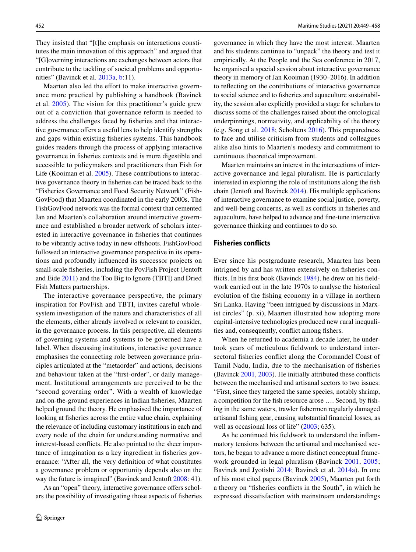They insisted that "[t]he emphasis on interactions constitutes the main innovation of this approach" and argued that "[G]overning interactions are exchanges between actors that contribute to the tackling of societal problems and opportunities" (Bavinck et al. [2013a](#page-9-6), [b:](#page-9-7)11).

Maarten also led the effort to make interactive governance more practical by publishing a handbook (Bavinck et al. [2005](#page-9-14)). The vision for this practitioner's guide grew out of a conviction that governance reform is needed to address the challenges faced by fsheries and that interactive governance offers a useful lens to help identify strengths and gaps within existing fsheries systems. This handbook guides readers through the process of applying interactive governance in fsheries contexts and is more digestible and accessible to policymakers and practitioners than Fish for Life (Kooiman et al. [2005](#page-10-2)). These contributions to interactive governance theory in fsheries can be traced back to the "Fisheries Governance and Food Security Network" (Fish-GovFood) that Maarten coordinated in the early 2000s. The FishGovFood network was the formal context that cemented Jan and Maarten's collaboration around interactive governance and established a broader network of scholars interested in interactive governance in fsheries that continues to be vibrantly active today in new ofshoots. FishGovFood followed an interactive governance perspective in its operations and profoundly infuenced its successor projects on small-scale fsheries, including the PovFish Project (Jentoft and Eide [2011](#page-10-3)) and the Too Big to Ignore (TBTI) and Dried Fish Matters partnerships.

The interactive governance perspective, the primary inspiration for PovFish and TBTI, invites careful wholesystem investigation of the nature and characteristics of all the elements, either already involved or relevant to consider, in the governance process. In this perspective, all elements of governing systems and systems to be governed have a label. When discussing institutions, interactive governance emphasises the connecting role between governance principles articulated at the "metaorder" and actions, decisions and behaviour taken at the "frst-order", or daily management. Institutional arrangements are perceived to be the "second governing order". With a wealth of knowledge and on-the-ground experiences in Indian fsheries, Maarten helped ground the theory. He emphasised the importance of looking at fsheries across the entire value chain, explaining the relevance of including customary institutions in each and every node of the chain for understanding normative and interest-based conficts. He also pointed to the sheer importance of imagination as a key ingredient in fsheries governance: "After all, the very defnition of what constitutes a governance problem or opportunity depends also on the way the future is imagined" (Bavinck and Jentoft [2008](#page-9-15): 41).

As an "open" theory, interactive governance offers scholars the possibility of investigating those aspects of fsheries governance in which they have the most interest. Maarten and his students continue to "unpack" the theory and test it empirically. At the People and the Sea conference in 2017, he organised a special session about interactive governance theory in memory of Jan Kooiman (1930–2016). In addition to refecting on the contributions of interactive governance to social science and to fsheries and aquaculture sustainability, the session also explicitly provided a stage for scholars to discuss some of the challenges raised about the ontological underpinnings, normativity, and applicability of the theory (e.g. Song et al. [2018;](#page-10-4) Scholtens [2016\)](#page-10-5). This preparedness to face and utilise criticism from students and colleagues alike also hints to Maarten's modesty and commitment to continuous theoretical improvement.

Maarten maintains an interest in the intersections of interactive governance and legal pluralism. He is particularly interested in exploring the role of institutions along the fsh chain (Jentoft and Bavinck [2014](#page-9-11)). His multiple applications of interactive governance to examine social justice, poverty, and well-being concerns, as well as conficts in fsheries and aquaculture, have helped to advance and fne-tune interactive governance thinking and continues to do so.

#### **Fisheries conficts**

Ever since his postgraduate research, Maarten has been intrigued by and has written extensively on fsheries conficts. In his frst book (Bavinck [1984](#page-9-0)), he drew on his feldwork carried out in the late 1970s to analyse the historical evolution of the fshing economy in a village in northern Sri Lanka. Having "been intrigued by discussions in Marxist circles" (p. xi), Maarten illustrated how adopting more capital-intensive technologies produced new rural inequalities and, consequently, confict among fshers.

When he returned to academia a decade later, he undertook years of meticulous feldwork to understand intersectoral fsheries confict along the Coromandel Coast of Tamil Nadu, India, due to the mechanisation of fsheries (Bavinck [2001](#page-9-16), [2003](#page-9-17)). He initially attributed these conficts between the mechanised and artisanal sectors to two issues: "First, since they targeted the same species, notably shrimp, a competition for the fsh resource arose …. Second, by fshing in the same waters, trawler fshermen regularly damaged artisanal fshing gear, causing substantial fnancial losses, as well as occasional loss of life" [\(2003;](#page-9-17) 635).

As he continued his feldwork to understand the infammatory tensions between the artisanal and mechanised sectors, he began to advance a more distinct conceptual framework grounded in legal pluralism (Bavinck [2001](#page-9-16), [2005](#page-9-18); Bavinck and Jyotishi [2014;](#page-9-19) Bavinck et al. [2014a\)](#page-9-10). In one of his most cited papers (Bavinck [2005](#page-9-18)), Maarten put forth a theory on "fsheries conficts in the South", in which he expressed dissatisfaction with mainstream understandings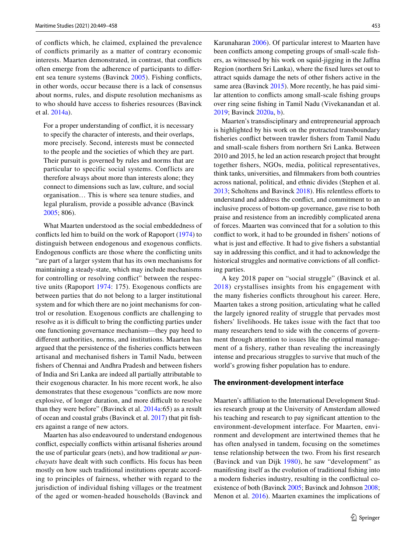of conficts which, he claimed, explained the prevalence of conficts primarily as a matter of contrary economic interests. Maarten demonstrated, in contrast, that conficts often emerge from the adherence of participants to diferent sea tenure systems (Bavinck [2005](#page-9-18)). Fishing conficts, in other words, occur because there is a lack of consensus about norms, rules, and dispute resolution mechanisms as to who should have access to fsheries resources (Bavinck et al. [2014a\)](#page-9-10).

For a proper understanding of confict, it is necessary to specify the character of interests, and their overlaps, more precisely. Second, interests must be connected to the people and the societies of which they are part. Their pursuit is governed by rules and norms that are particular to specific social systems. Conflicts are therefore always about more than interests alone; they connect to dimensions such as law, culture, and social organisation… This is where sea tenure studies, and legal pluralism, provide a possible advance (Bavinck [2005;](#page-9-18) 806).

What Maarten understood as the social embeddedness of conficts led him to build on the work of Rapoport ([1974\)](#page-10-6) to distinguish between endogenous and exogenous conficts. Endogenous conficts are those where the conficting units "are part of a larger system that has its own mechanisms for maintaining a steady-state, which may include mechanisms for controlling or resolving confict" between the respective units (Rapoport [1974:](#page-10-6) 175). Exogenous conficts are between parties that do not belong to a larger institutional system and for which there are no joint mechanisms for control or resolution. Exogenous conficts are challenging to resolve as it is difficult to bring the conflicting parties under one functioning governance mechanism—they pay heed to diferent authorities, norms, and institutions. Maarten has argued that the persistence of the fsheries conficts between artisanal and mechanised fshers in Tamil Nadu, between fshers of Chennai and Andhra Pradesh and between fshers of India and Sri Lanka are indeed all partially attributable to their exogenous character. In his more recent work, he also demonstrates that these exogenous "conficts are now more explosive, of longer duration, and more difficult to resolve than they were before" (Bavinck et al. [2014a](#page-9-10):65) as a result of ocean and coastal grabs (Bavinck et al. [2017](#page-9-20)) that pit fshers against a range of new actors.

Maarten has also endeavoured to understand endogenous confict, especially conficts within artisanal fsheries around the use of particular gears (nets), and how traditional *ur panchayats* have dealt with such conficts. His focus has been mostly on how such traditional institutions operate according to principles of fairness, whether with regard to the jurisdiction of individual fshing villages or the treatment of the aged or women-headed households (Bavinck and Karunaharan [2006\)](#page-9-21). Of particular interest to Maarten have been conficts among competing groups of small-scale fshers, as witnessed by his work on squid-jigging in the Jafna Region (northern Sri Lanka), where the fxed lures set out to attract squids damage the nets of other fshers active in the same area (Bavinck [2015](#page-9-1)). More recently, he has paid similar attention to conficts among small-scale fshing groups over ring seine fshing in Tamil Nadu (Vivekanandan et al. [2019](#page-10-7); Bavinck [2020a](#page-9-12)[, b\)](#page-9-13).

Maarten's transdisciplinary and entrepreneurial approach is highlighted by his work on the protracted transboundary fsheries confict between trawler fshers from Tamil Nadu and small-scale fshers from northern Sri Lanka. Between 2010 and 2015, he led an action research project that brought together fshers, NGOs, media, political representatives, think tanks, universities, and flmmakers from both countries across national, political, and ethnic divides (Stephen et al. [2013](#page-10-8); Scholtens and Bavinck [2018](#page-10-9)). His relentless efforts to understand and address the confict, and commitment to an inclusive process of bottom-up governance, gave rise to both praise and resistence from an incredibly complicated arena of forces. Maarten was convinced that for a solution to this confict to work, it had to be grounded in fshers' notions of what is just and effective. It had to give fishers a substantial say in addressing this confict, and it had to acknowledge the historical struggles and normative convictions of all conficting parties.

A key 2018 paper on "social struggle" (Bavinck et al. [2018\)](#page-9-2) crystallises insights from his engagement with the many fsheries conficts throughout his career. Here, Maarten takes a strong position, articulating what he called the largely ignored reality of struggle that pervades most fshers' livelihoods. He takes issue with the fact that too many researchers tend to side with the concerns of government through attention to issues like the optimal management of a fshery, rather than revealing the increasingly intense and precarious struggles to survive that much of the world's growing fsher population has to endure.

#### **The environment‑development interface**

Maarten's affiliation to the International Development Studies research group at the University of Amsterdam allowed his teaching and research to pay signifcant attention to the environment-development interface. For Maarten, environment and development are intertwined themes that he has often analysed in tandem, focusing on the sometimes tense relationship between the two. From his frst research (Bavinck and van Dijk [1980\)](#page-9-22), he saw "development" as manifesting itself as the evolution of traditional fshing into a modern fsheries industry, resulting in the confictual coexistence of both (Bavinck [2005;](#page-9-18) Bavinck and Johnson [2008](#page-9-23); Menon et al. [2016\)](#page-10-10). Maarten examines the implications of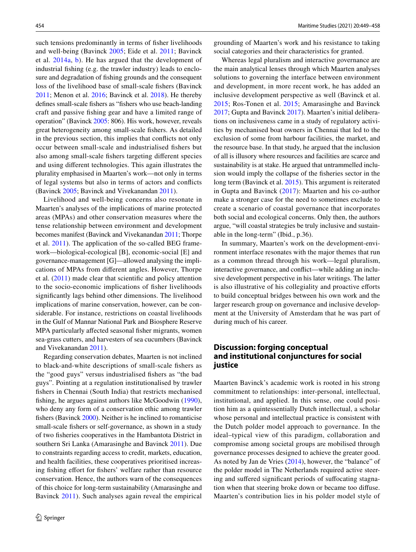such tensions predominantly in terms of fsher livelihoods and well-being (Bavinck [2005](#page-9-18); Eide et al. [2011](#page-9-24); Bavinck et al. [2014a](#page-9-10), [b\)](#page-9-25). He has argued that the development of industrial fshing (e.g. the trawler industry) leads to enclosure and degradation of fshing grounds and the consequent loss of the livelihood base of small-scale fshers (Bavinck [2011](#page-9-26); Menon et al. [2016](#page-10-10); Bavinck et al. [2018\)](#page-9-2). He thereby defnes small-scale fshers as "fshers who use beach-landing craft and passive fshing gear and have a limited range of operation" (Bavinck [2005:](#page-9-18) 806). His work, however, reveals great heterogeneity among small-scale fshers. As detailed in the previous section, this implies that conficts not only occur between small-scale and industrialised fshers but also among small-scale fshers targeting diferent species and using diferent technologies. This again illustrates the plurality emphasised in Maarten's work—not only in terms of legal systems but also in terms of actors and conficts (Bavinck [2005](#page-9-18); Bavinck and Vivekanandan [2011\)](#page-9-27).

Livelihood and well-being concerns also resonate in Maarten's analyses of the implications of marine protected areas (MPAs) and other conservation measures where the tense relationship between environment and development becomes manifest (Bavinck and Vivekanandan [2011;](#page-9-27) Thorpe et al. [2011\)](#page-10-11). The application of the so-called BEG framework—biological-ecological [B], economic-social [E] and governance-management [G]—allowed analysing the implications of MPAs from diferent angles. However, Thorpe et al. [\(2011](#page-10-11)) made clear that scientifc and policy attention to the socio-economic implications of fsher livelihoods signifcantly lags behind other dimensions. The livelihood implications of marine conservation, however, can be considerable. For instance, restrictions on coastal livelihoods in the Gulf of Mannar National Park and Biosphere Reserve MPA particularly affected seasonal fisher migrants, women sea-grass cutters, and harvesters of sea cucumbers (Bavinck and Vivekanandan [2011\)](#page-9-27).

Regarding conservation debates, Maarten is not inclined to black-and-white descriptions of small-scale fshers as the "good guys" versus industrialised fshers as "the bad guys". Pointing at a regulation institutionalised by trawler fshers in Chennai (South India) that restricts mechanised fishing, he argues against authors like McGoodwin ([1990](#page-10-12)), who deny any form of a conservation ethic among trawler fshers (Bavinck [2000\)](#page-9-28). Neither is he inclined to romanticise small-scale fshers or self-governance, as shown in a study of two fsheries cooperatives in the Hambantota District in southern Sri Lanka (Amarasinghe and Bavinck [2011\)](#page-8-0). Due to constraints regarding access to credit, markets, education, and health facilities, these cooperatives prioritised increasing fishing effort for fishers' welfare rather than resource conservation. Hence, the authors warn of the consequences of this choice for long-term sustainability (Amarasinghe and Bavinck [2011\)](#page-8-0). Such analyses again reveal the empirical grounding of Maarten's work and his resistance to taking social categories and their characteristics for granted.

Whereas legal pluralism and interactive governance are the main analytical lenses through which Maarten analyses solutions to governing the interface between environment and development, in more recent work, he has added an inclusive development perspective as well (Bavinck et al. [2015;](#page-9-29) Ros-Tonen et al. [2015;](#page-10-13) Amarasinghe and Bavinck [2017](#page-9-30); Gupta and Bavinck [2017](#page-9-31)). Maarten's initial deliberations on inclusiveness came in a study of regulatory activities by mechanised boat owners in Chennai that led to the exclusion of some from harbour facilities, the market, and the resource base. In that study, he argued that the inclusion of all is illusory where resources and facilities are scarce and sustainability is at stake. He argued that untrammelled inclusion would imply the collapse of the fsheries sector in the long term (Bavinck et al. [2015](#page-9-29)). This argument is reiterated in Gupta and Bavinck ([2017](#page-9-31)): Maarten and his co-author make a stronger case for the need to sometimes exclude to create a scenario of coastal governance that incorporates both social and ecological concerns. Only then, the authors argue, "will coastal strategies be truly inclusive and sustainable in the long-term" (Ibid., p.36).

In summary, Maarten's work on the development-environment interface resonates with the major themes that run as a common thread through his work—legal pluralism, interactive governance, and confict—while adding an inclusive development perspective in his later writings. The latter is also illustrative of his collegiality and proactive eforts to build conceptual bridges between his own work and the larger research group on governance and inclusive development at the University of Amsterdam that he was part of during much of his career.

### **Discussion: forging conceptual and institutional conjunctures for social justice**

Maarten Bavinck's academic work is rooted in his strong commitment to relationships: inter-personal, intellectual, institutional, and applied. In this sense, one could position him as a quintessentially Dutch intellectual, a scholar whose personal and intellectual practice is consistent with the Dutch polder model approach to governance. In the ideal–typical view of this paradigm, collaboration and compromise among societal groups are mobilised through governance processes designed to achieve the greater good. As noted by Jan de Vries ([2014\)](#page-9-32), however, the "balance" of the polder model in The Netherlands required active steering and sufered signifcant periods of sufocating stagnation when that steering broke down or became too difuse. Maarten's contribution lies in his polder model style of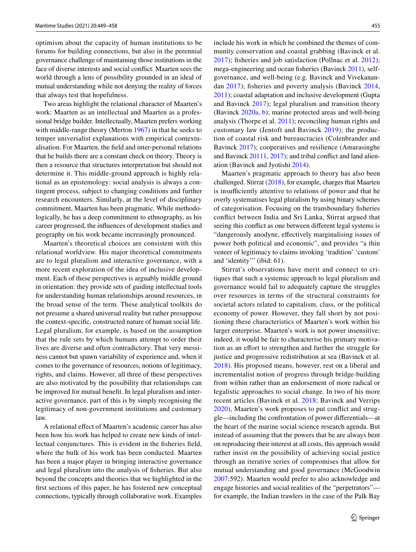optimism about the capacity of human institutions to be forums for building connections, but also in the perennial governance challenge of maintaining those institutions in the face of diverse interests and social confict. Maarten sees the world through a lens of possibility grounded in an ideal of mutual understanding while not denying the reality of forces that always test that hopefulness.

Two areas highlight the relational character of Maarten's work: Maarten as an intellectual and Maarten as a professional bridge builder. Intellectually, Maarten prefers working with middle-range theory (Merton [1967\)](#page-10-14) in that he seeks to temper universalist explanations with empirical contextualisation. For Maarten, the feld and inter-personal relations that he builds there are a constant check on theory. Theory is then a resource that structures interpretation but should not determine it. This middle-ground approach is highly relational as an epistemology: social analysis is always a contingent process, subject to changing conditions and further research encounters. Similarly, at the level of disciplinary commitment, Maarten has been pragmatic. While methodologically, he has a deep commitment to ethnography, as his career progressed, the infuences of development studies and geography on his work became increasingly pronounced.

Maarten's theoretical choices are consistent with this relational worldview. His major theoretical commitments are to legal pluralism and interactive governance, with a more recent exploration of the idea of inclusive development. Each of these perspectives is arguably middle ground in orientation: they provide sets of guiding intellectual tools for understanding human relationships around resources, in the broad sense of the term. These analytical toolkits do not presume a shared universal reality but rather presuppose the context-specifc, constructed nature of human social life. Legal pluralism, for example, is based on the assumption that the rule sets by which humans attempt to order their lives are diverse and often contradictory. That very messiness cannot but spawn variability of experience and, when it comes to the governance of resources, notions of legitimacy, rights, and claims. However, all three of these perspectives are also motivated by the possibility that relationships can be improved for mutual beneft. In legal pluralism and interactive governance, part of this is by simply recognising the legitimacy of non-government institutions and customary law.

A relational efect of Maarten's academic career has also been how his work has helped to create new kinds of intellectual conjunctures. This is evident in the fsheries feld, where the bulk of his work has been conducted. Maarten has been a major player in bringing interactive governance and legal pluralism into the analysis of fsheries. But also beyond the concepts and theories that we highlighted in the frst sections of this paper, he has fostered new conceptual connections, typically through collaborative work. Examples include his work in which he combined the themes of community conservation and coastal grabbing (Bavinck et al. [2017\)](#page-9-20); fsheries and job satisfaction (Pollnac et al. [2012\)](#page-10-15); mega-engineering and ocean fsheries (Bavinck [2011](#page-9-26)), selfgovernance, and well-being (e.g. Bavinck and Vivekanandan [2017\)](#page-9-33); fsheries and poverty analysis (Bavinck [2014,](#page-9-34) [2011](#page-9-26)); coastal adaptation and inclusive development (Gupta and Bavinck [2017\)](#page-9-31); legal pluralism and transition theory (Bavinck [2020a](#page-9-12), [b](#page-9-13)); marine protected areas and well-being analysis (Thorpe et al. [2011\)](#page-10-11); reconciling human rights and customary law (Jentoft and Bavinck [2019](#page-10-16)); the production of coastal risk and bureaucracies (Colenbrander and Bavinck [2017\)](#page-9-35); cooperatives and resilience (Amarasinghe and Bavinck [20111](#page-9-30), [2017](#page-9-30)); and tribal confict and land alienation (Bavinck and Jyotishi [2014\)](#page-9-19).

Maarten's pragmatic approach to theory has also been challenged. Stirrat [\(2018](#page-10-17)), for example, charges that Maarten is insufficiently attentive to relations of power and that he overly systematises legal pluralism by using binary schemes of categorisation. Focusing on the transboundary fsheries confict between India and Sri Lanka, Stirrat argued that seeing this confict as one between diferent legal systems is "dangerously anodyne, efectively marginalising issues of power both political and economic", and provides "a thin veneer of legitimacy to claims invoking 'tradition' 'custom' and 'identity'" (ibid: 61).

Stirrat's observations have merit and connect to critiques that such a systemic approach to legal pluralism and governance would fail to adequately capture the struggles over resources in terms of the structural constraints for societal actors related to capitalism, class, or the political economy of power. However, they fall short by not positioning these characteristics of Maarten's work within his larger enterprise. Maarten's work is not power insensitive; indeed, it would be fair to characterise his primary motivation as an efort to strengthen and further the struggle for justice and progressive redistribution at sea (Bavinck et al. [2018](#page-9-2)). His proposed means, however, rest on a liberal and incrementalist notion of progress through bridge-building from within rather than an endorsement of more radical or legalistic approaches to social change. In two of his more recent articles (Bavinck et al. [2018;](#page-9-2) Bavinck and Verrips [2020\)](#page-9-36), Maarten's work proposes to put confict and struggle—including the confrontation of power diferentials—at the heart of the marine social science research agenda. But instead of assuming that the powers that be are always bent on reproducing their interest at all costs, this approach would rather insist on the possibility of achieving social justice through an iterative series of compromises that allow for mutual understanding and good governance (McGoodwin [2007](#page-10-18):592). Maarten would prefer to also acknowledge and engage histories and social realities of the "perpetrators" for example, the Indian trawlers in the case of the Palk Bay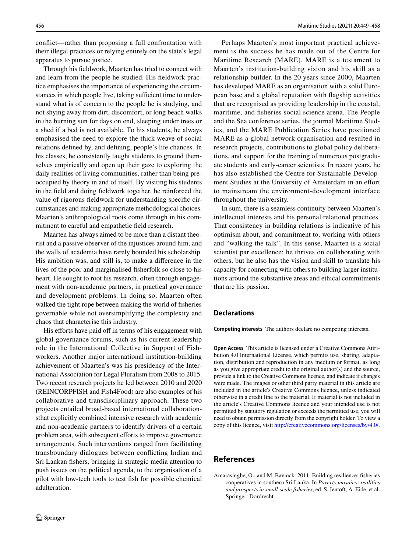confict—rather than proposing a full confrontation with their illegal practices or relying entirely on the state's legal apparatus to pursue justice.

Through his feldwork, Maarten has tried to connect with and learn from the people he studied. His feldwork practice emphasises the importance of experiencing the circumstances in which people live, taking sufficient time to understand what is of concern to the people he is studying, and not shying away from dirt, discomfort, or long beach walks in the burning sun for days on end, sleeping under trees or a shed if a bed is not available. To his students, he always emphasised the need to explore the thick weave of social relations defned by, and defning, people's life chances. In his classes, he consistently taught students to ground themselves empirically and open up their gaze to exploring the daily realities of living communities, rather than being preoccupied by theory in and of itself. By visiting his students in the feld and doing feldwork together, he reinforced the value of rigorous feldwork for understanding specifc circumstances and making appropriate methodological choices. Maarten's anthropological roots come through in his commitment to careful and empathetic feld research.

Maarten has always aimed to be more than a distant theorist and a passive observer of the injustices around him, and the walls of academia have rarely bounded his scholarship. His ambition was, and still is, to make a diference in the lives of the poor and marginalised fsherfolk so close to his heart. He sought to root his research, often through engagement with non-academic partners, in practical governance and development problems. In doing so, Maarten often walked the tight rope between making the world of fsheries governable while not oversimplifying the complexity and chaos that characterise this industry.

His efforts have paid off in terms of his engagement with global governance forums, such as his current leadership role in the International Collective in Support of Fishworkers. Another major international institution-building achievement of Maarten's was his presidency of the International Association for Legal Pluralism from 2008 to 2015. Two recent research projects he led between 2010 and 2020 (REINCORPFISH and Fish4Food) are also examples of his collaborative and transdisciplinary approach. These two projects entailed broad-based international collaborationsthat explicitly combined intensive research with academic and non-academic partners to identify drivers of a certain problem area, with subsequent efforts to improve governance arrangements. Such interventions ranged from facilitating transboundary dialogues between conficting Indian and Sri Lankan fshers, bringing in strategic media attention to push issues on the political agenda, to the organisation of a pilot with low-tech tools to test fsh for possible chemical adulteration.

Perhaps Maarten's most important practical achievement is the success he has made out of the Centre for Maritime Research (MARE). MARE is a testament to Maarten's institution-building vision and his skill as a relationship builder. In the 20 years since 2000, Maarten has developed MARE as an organisation with a solid European base and a global reputation with fagship activities that are recognised as providing leadership in the coastal, maritime, and fsheries social science arena. The People and the Sea conference series, the journal Maritime Studies, and the MARE Publication Series have positioned MARE as a global network organisation and resulted in research projects, contributions to global policy deliberations, and support for the training of numerous postgraduate students and early-career scientists. In recent years, he has also established the Centre for Sustainable Development Studies at the University of Amsterdam in an efort to mainstream the environment-development interface throughout the university.

In sum, there is a seamless continuity between Maarten's intellectual interests and his personal relational practices. That consistency in building relations is indicative of his optimism about, and commitment to, working with others and "walking the talk". In this sense, Maarten is a social scientist par excellence: he thrives on collaborating with others, but he also has the vision and skill to translate his capacity for connecting with others to building larger institutions around the substantive areas and ethical commitments that are his passion.

#### **Declarations**

**Competing interests** The authors declare no competing interests.

**Open Access** This article is licensed under a Creative Commons Attribution 4.0 International License, which permits use, sharing, adaptation, distribution and reproduction in any medium or format, as long as you give appropriate credit to the original author(s) and the source, provide a link to the Creative Commons licence, and indicate if changes were made. The images or other third party material in this article are included in the article's Creative Commons licence, unless indicated otherwise in a credit line to the material. If material is not included in the article's Creative Commons licence and your intended use is not permitted by statutory regulation or exceeds the permitted use, you will need to obtain permission directly from the copyright holder. To view a copy of this licence, visit<http://creativecommons.org/licenses/by/4.0/>.

#### **References**

<span id="page-8-0"></span>Amarasinghe, O., and M. Bavinck. 2011. Building resilience: fsheries cooperatives in southern Sri Lanka. In *Poverty mosaics: realities and prospects in small-scale fsheries*, ed. S. Jentoft, A. Eide, et al. Springer: Dordrecht.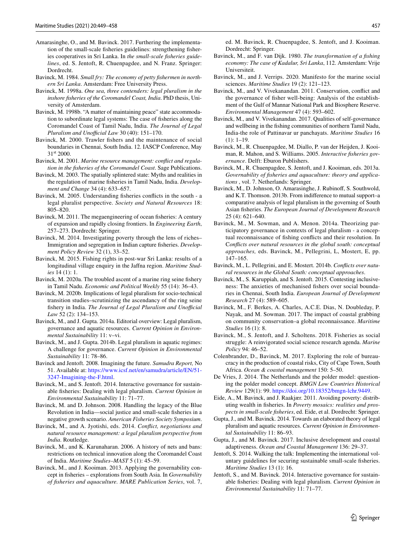- <span id="page-9-30"></span>Amarasinghe, O., and M. Bavinck. 2017. Furthering the implementation of the small-scale fsheries guidelines: strengthening fsheries cooperatives in Sri Lanka. In *the small-scale fsheries guidelines*, ed. S. Jentoft, R. Chuenpagdee, and N. Franz. Springer: Dordrecht.
- <span id="page-9-0"></span>Bavinck, M. 1984. *Small fry: The economy of petty fshermen in northern Sri Lanka*. Amsterdam: Free University Press.
- <span id="page-9-3"></span>Bavinck, M. 1998a. *One sea, three contenders: legal pluralism in the inshore fsheries of the Coromandel Coast, India*. PhD thesis, University of Amsterdam.
- <span id="page-9-4"></span>Bavinck, M. 1998b. "A matter of maintaining peace" state accommodation to subordinate legal systems: The case of fsheries along the Coromandel Coast of Tamil Nadu, India. *The Journal of Legal Pluralism and Unofficial Law* 30 (40): 151-170.
- <span id="page-9-28"></span>Bavinck, M. 2000. Trawler fshers and the maintenance of social boundaries in Chennai, South India. 12. IASCP Conference, May 31<sup>st</sup> 2000.
- <span id="page-9-16"></span>Bavinck, M. 2001. *Marine resource management: confict and regulation in the fsheries of the Coromandel Coast*. Sage Publications.
- <span id="page-9-17"></span>Bavinck, M. 2003. The spatially splintered state: Myths and realities in the regulation of marine fsheries in Tamil Nadu, India. *Development and Change* 34 (4): 633–657.
- <span id="page-9-18"></span>Bavinck, M. 2005. Understanding fsheries conficts in the south - a legal pluralist perspective. *Society and Natural Resources* 18: 805–820.
- <span id="page-9-26"></span>Bavinck, M. 2011. The megaengineering of ocean fsheries: A century of expansion and rapidly closing frontiers. In *Engineering Earth*, 257–273. Dordrecht: Springer.
- <span id="page-9-34"></span>Bavinck, M. 2014. Investigating poverty through the lens of riches– Immigration and segregation in Indian capture fsheries. *Development Policy Review* 32 (1), 33–52.
- <span id="page-9-1"></span>Bavinck, M. 2015. Fishing rights in post-war Sri Lanka: results of a longitudinal village enquiry in the Jafna region. *Maritime Studies* 14 (1): 1.
- <span id="page-9-12"></span>Bavinck, M. 2020a. The troubled ascent of a marine ring seine fshery in Tamil Nadu. *Economic and Political Weekly* 55 (14): 36–43.
- <span id="page-9-13"></span>Bavinck, M. 2020b. Implications of legal pluralism for socio-technical transition studies–scrutinizing the ascendancy of the ring seine fishery in India. *The Journal of Legal Pluralism and Unofficial Law* 52 (2): 134–153.
- Bavinck, M., and J. Gupta. 2014a. Editorial overview: Legal pluralism, governance and aquatic resources. *Current Opinion in Environmental Sustainability* 11: v–vi.
- <span id="page-9-5"></span>Bavinck, M., and J. Gupta. 2014b. Legal pluralism in aquatic regimes: A challenge for governance. *Current Opinion in Environmental Sustainability* 11: 78–86.
- <span id="page-9-15"></span>Bavinck and Jentoft. 2008. Imagining the future. *Samudra Report,* No 51. Available at: [https://www.icsf.net/en/samudra/article/EN/51-](https://www.icsf.net/en/samudra/article/EN/51-3247-Imagining-the-F.html) [3247-Imagining-the-F.html](https://www.icsf.net/en/samudra/article/EN/51-3247-Imagining-the-F.html).
- Bavinck, M., and S. Jentoft. 2014. Interactive governance for sustainable fsheries: Dealing with legal pluralism. *Current Opinion in Environmental Sustainability* 11: 71–77.
- <span id="page-9-23"></span>Bavinck, M. and D. Johnson. 2008. Handling the legacy of the Blue Revolution in India—social justice and small-scale fsheries in a negative growth scenario. *American Fisheries Society Symposium*.
- <span id="page-9-19"></span>Bavinck, M., and A. Jyotishi, eds. 2014. *Confict, negotiations and natural resource management: a legal pluralism perspective from India*. Routledge.
- <span id="page-9-21"></span>Bavinck, M., and K. Karunaharan. 2006. A history of nets and bans: restrictions on technical innovation along the Coromandel Coast of India. *Maritime Studies–MAST* 5 (1): 45–59.
- <span id="page-9-9"></span>Bavinck, M., and J. Kooiman. 2013. Applying the governability concept in fsheries – explorations from South Asia. In *Governability of fsheries and aquaculture. MARE Publication Series*, vol. 7,

ed. M. Bavinck, R. Chuenpagdee, S. Jentoft, and J. Kooiman. Dordrecht: Springer.

- <span id="page-9-22"></span>Bavinck, M., and F. van Dijk. 1980. *The transformation of a fshing economy: The case of Kadalur, Sri Lanka*, 112. Amsterdam: Vrije Universiteit.
- <span id="page-9-36"></span>Bavinck, M., and J. Verrips. 2020. Manifesto for the marine social sciences. *Maritime Studies* 19 (2): 121–123.
- <span id="page-9-27"></span>Bavinck, M., and V. Vivekanandan. 2011. Conservation, confict and the governance of fsher well-being: Analysis of the establishment of the Gulf of Mannar National Park and Biosphere Reserve. *Environmental Management* 47 (4): 593–602.
- <span id="page-9-33"></span>Bavinck, M., and V. Vivekanandan. 2017. Qualities of self-governance and wellbeing in the fshing communities of northern Tamil Nadu, India-the role of Pattinavar ur panchayats. *Maritime Studies* 16  $(1): 1-19.$
- <span id="page-9-14"></span>Bavinck, M., R. Chuenpagdee, M. Diallo, P. van der Heijden, J. Kooiman, R. Mahon, and S. Williams. 2005. *Interactive fsheries governance*. Delft: Eburon Publishers.
- <span id="page-9-6"></span>Bavinck, M., R. Chuenpagdee, S. Jentoft, and J. Kooiman, eds. 2013a. *Governability of fsheries and aquaculture: theory and applications* , vol. 7. Netherlands: Springer.
- <span id="page-9-7"></span>Bavinck, M., D. Johnson, O. Amarasinghe, J. Rubinoff, S. Southwold, and K.T. Thomson. 2013b. From indiference to mutual support–a comparative analysis of legal pluralism in the governing of South Asian fsheries. *The European Journal of Development Research* 25 (4): 621–640.
- <span id="page-9-10"></span>Bavinck, M., M. Sowman, and A. Menon. 2014a. Theorizing participatory governance in contexts of legal pluralism - a conceptual reconnaissance of fshing conficts and their resolution. In C*onficts over natural resources in the global south: conceptual approaches,* eds. Bavinck, M., Pellegrini, L, Mostert, E, pp. 147–165.
- <span id="page-9-25"></span>Bavinck, M., L. Pellegrini, and E. Mostert. 2014b. *Conficts over natural resources in the Global South: conceptual approaches*.
- <span id="page-9-29"></span>Bavinck, M., S. Karuppiah, and S. Jentoft. 2015. Contesting inclusiveness: The anxieties of mechanised fshers over social boundaries in Chennai, South India. *European Journal of Development Research* 27 (4): 589–605.
- <span id="page-9-20"></span>Bavinck, M., F. Berkes, A. Charles, A.C.E. Dias, N. Doubleday, P. Nayak, and M. Sowman. 2017. The impact of coastal grabbing on community conservation–a global reconnaissance. *Maritime Studies* 16 (1): 8.
- <span id="page-9-2"></span>Bavinck, M., S. Jentoft, and J. Scholtens. 2018. Fisheries as social struggle: A reinvigorated social science research agenda. *Marine Policy* 94: 46–52.
- <span id="page-9-35"></span>Colenbrander, D., Bavinck, M. 2017. Exploring the role of bureaucracy in the production of coastal risks, City of Cape Town, South Africa. *Ocean & coastal management* 150: 5–50.
- <span id="page-9-32"></span>De Vries, J. 2014. The Netherlands and the polder model: questioning the polder model concept. *BMGN Low Countries Historical Review* 129(1): 99.<https://doi.org/10.18352/bmgn-lchr.9449>.
- <span id="page-9-24"></span>Eide, A., M. Bavinck, and J. Raakjær. 2011. Avoiding poverty: distributing wealth in fsheries. In *Poverty mosaics: realities and prospects in small-scale fsheries*, ed. Eide, et al. Dordrecht: Springer.
- <span id="page-9-8"></span>Gupta, J., and M. Bavinck. 2014. Towards an elaborated theory of legal pluralism and aquatic resources. *Current Opinion in Environmental Sustainability* 11: 86–93.
- <span id="page-9-31"></span>Gupta, J., and M. Bavinck. 2017. Inclusive development and coastal adaptiveness. *Ocean and Coastal Management* 136: 29–37.
- Jentoft, S. 2014. Walking the talk: Implementing the international voluntary guidelines for securing sustainable small-scale fsheries. *Maritime Studies* 13 (1): 16.
- <span id="page-9-11"></span>Jentoft, S., and M. Bavinck. 2014. Interactive governance for sustainable fsheries: Dealing with legal pluralism. *Current Opinion in Environmental Sustainability* 11: 71–77.